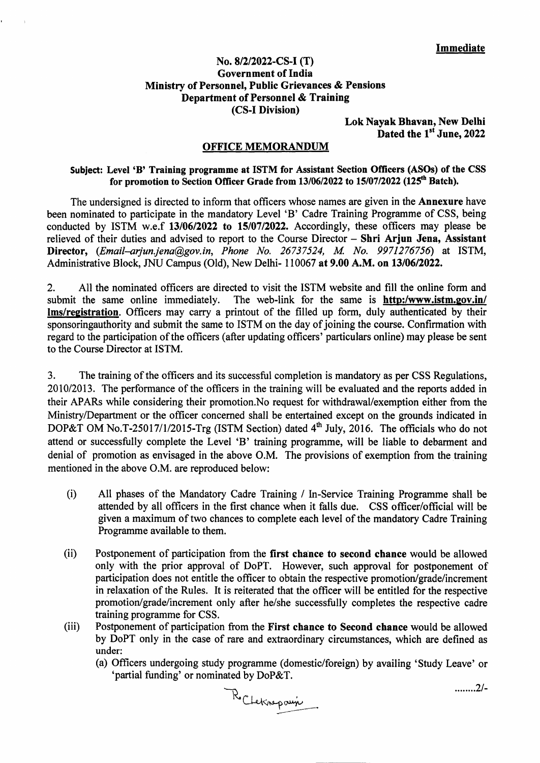## No. 8/2/2022-CS**-I (T) Government of India Ministry of Personnel, Public Grievances** & Pensions Department of Personnel & Training (CS**-I Division)**

**Lok Nayak Bhavan, New Delhi**  Dated the 1<sup>st</sup> June, 2022

## **OFFICE MEMORANDUM**

## **Subject: Level 'B' Training programme at ISTM for Assistant Section Officers (ASOs) of the CSS**  for promotion to Section Officer Grade from 13/06/2022 to 15/07/2022 (125<sup>th</sup> Batch).

The undersigned is directed to inform that officers whose names are given in the **Annexure** have been nominated to participate in the mandatory Level 'B' Cadre Training Programme of CSS, being conducted by ISTM w.e.f **13/06/2022 to 15/07/2022.** Accordingly, these officers may please be relieved of their duties and advised to report to the Course Director — **Shri Arjun Jena, Assistant Director,** *(Email—arjun.jenagov.in, Phone No. 26737524, M No. 9971276756)* at ISTM, Administrative Block, JNU Campus (Old), New Delhi- 110067 **at 9.00** A.M. **on 13/06/2022.** 

2. All the nominated officers are directed to visit the ISTM website and fill the online form and submit the same online immediately. The web-link for the same is **http:/www.istm.gov.in/** The web-link for the same is **http:/www.istm.gov.in/ lms/re2istration.** Officers may carry a printout of the filled up form, duly authenticated by their sponsoringauthority and submit the same to ISTM on the day of joining the course. Confirmation with regard to the participation of the officers (after updating officers' particulars online) may please be sent to the Course Director at ISTM.

3. The training of the officers and its successful completion is mandatory as per CSS Regulations, 2010/2013. The performance of the officers in the training will be evaluated and the reports added in their APARs while considering their promotion.No request for withdrawal/exemption either from the Ministry/Department or the officer concerned shall be entertained except on the grounds indicated in DOP&T OM No.T-25017/1/2015-Trg (ISTM Section) dated  $4<sup>th</sup>$  July, 2016. The officials who do not attend or successfully complete the Level 'B' training programme, will be liable to debarment and denial of promotion as envisaged in the above O.M. The provisions of exemption from the training mentioned in the above O.M. are reproduced below:

- (i) All phases of the Mandatory Cadre Training / In-Service Training Programme shall be attended by all officers in the first chance when it falls due. CSS officer/official will be given a maximum of two chances to complete each level of the mandatory Cadre Training Programme available to them.
- (ii) Postponement of participation from the **first chance to second chance** would be allowed only with the prior approval of DoPT. However, such approval for postponement of participation does not entitle the officer to obtain the respective promotion/grade/increment in relaxation of the Rules. It is reiterated that the officer will be entitled for the respective promotion/grade/increment only after he/she successfully completes the respective cadre training programme for CSS.
- (iii) Postponement of participation from the **First chance to Second chance** would be allowed by DoPT only in the case of rare and extraordinary circumstances, which are defined as under:
	- (a) Officers undergoing study programme (domestic/foreign) by availing 'Study Leave' or 'partial funding' or nominated by DoP&T.

Rocheknepauje

2/-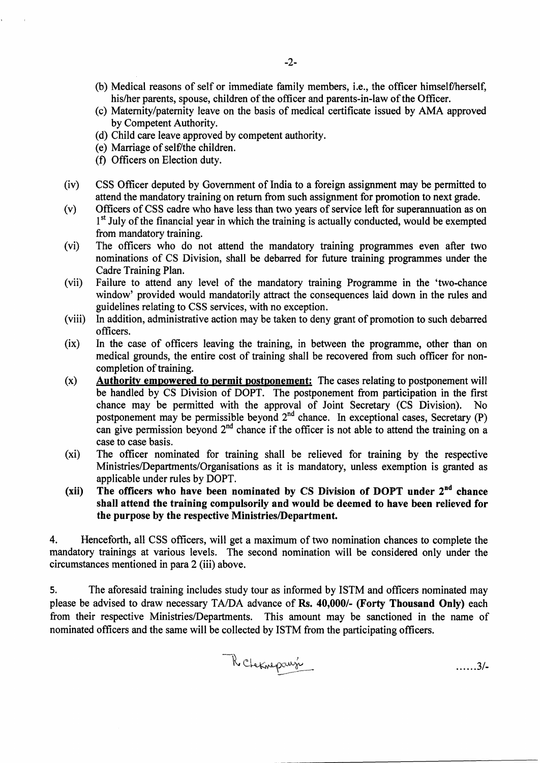- (b) Medical reasons of self or immediate family members, i.e., the officer himself/herself, his/her parents, spouse, children of the officer and parents-in-law of the Officer.
- (c) Maternity/paternity leave on the basis of medical certificate issued by AMA approved by Competent Authority.
- (d) Child care leave approved by competent authority.
- (e) Marriage of selfYthe children.
- (f) Officers on Election duty.
- (iv) CSS Officer deputed by Government of India to a foreign assignment may be permitted to attend the mandatory training on return from such assignment for promotion to next grade.
- (v) Officers of CSS cadre who have less than two years of service left for superannuation as on 1<sup>st</sup> July of the financial year in which the training is actually conducted, would be exempted from mandatory training.
- (vi) The officers who do not attend the mandatory training programmes even after two nominations of CS Division, shall be debarred for future training programmes under the Cadre Training Plan.
- (vii) Failure to attend any level of the mandatory training Programme in the 'two-chance window' provided would mandatorily attract the consequences laid down in the rules and guidelines relating to CSS services, with no exception.
- (viii) In addition, administrative action may be taken to deny grant of promotion to such debarred officers.
- (ix) In the case of officers leaving the training, in between the programme, other than on medical grounds, the entire cost of training shall be recovered from such officer for noncompletion of training.
- (x) **Authority empowered to permit postponement:** The cases relating to postponement will be handled by CS Division of DOPT. The postponement from participation in the first chance may be permitted with the approval of Joint Secretary (CS Division). No postponement may be permissible beyond 2<sup>nd</sup> chance. In exceptional cases, Secretary (P) can give permission beyond  $2<sup>nd</sup>$  chance if the officer is not able to attend the training on a case to case basis.
- (xi) The officer nominated for training shall be relieved for training by the respective Ministries/Departments/Organisations as it is mandatory, unless exemption is granted as applicable under rules by DOPT.
- **(xii) The officers who have been nominated by CS Division of DOPT under** 2'"' **chance shall attend the training compulsorily and would be deemed to have been relieved for the purpose by the respective Ministries/Department.**

4. Henceforth, all CSS officers, will get a maximum of two nomination chances to complete the mandatory trainings at various levels. The second nomination will be considered only under the circumstances mentioned in para 2 (iii) above.

5. The aforesaid training includes study tour as informed by ISTM and officers nominated may please be advised to draw necessary TA/DA advance of **Rs. 40,000/- (Forty Thousand Only)** each from their respective Ministries/Departments. This amount may be sanctioned in the name of nominated officers and the same will be collected by ISTM from the participating officers.

3/-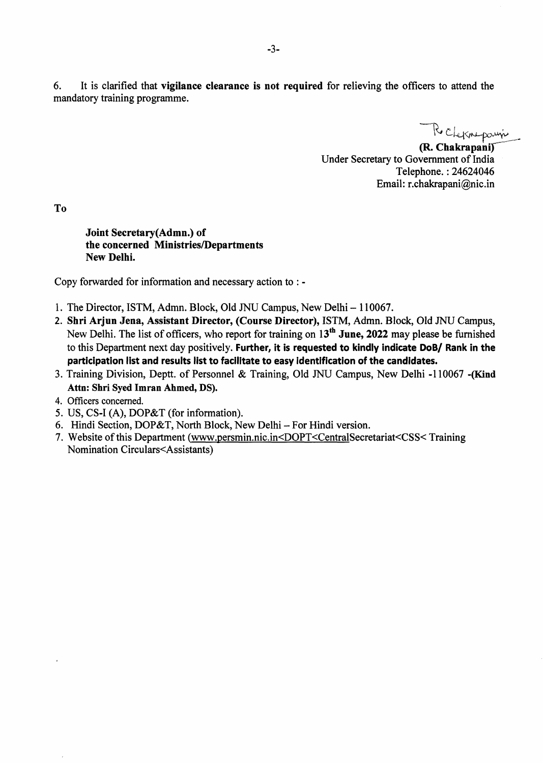6. It is clarified that **vigilance clearance is not required** for relieving the officers to attend the mandatory training programme.

 $R_0$ 

**(R. Chakrapani**  Under Secretary to Government of India Telephone. : 24624046 Email: r.chakrapani@nic.in

**To** 

**Joint Secretary(Admn.) of the concerned Ministries/Departments New Delhi.** 

Copy forwarded for information and necessary action to : -

- 1. The Director, ISTM, Admn. Block, Old JNU Campus, New Delhi 110067.
- **2. Shri Arjun Jena, Assistant Director, (Course Director),** ISTM, Admn. Block, Old JNU Campus, New Delhi. The list of officers, who report for training on 13th **June, 2022** may please be furnished to this Department next day positively. **Further, it is requested to kindly indicate DoB/ Rank in the participation list and results list to facilitate to easy identification of the candidates.**
- 3. Training Division, Deptt. of Personnel & Training, Old JNU Campus, New Delhi -110067 -(Kind Attn: Shri Syed Imran Ahmed, DS).
- 4. Officers concerned.
- 5. US, CS-I (A), DOP&T (for information).
- 6. Hindi Section, DOP&T, North Block, New Delhi For Hindi version.
- 7. Website of this Department (www.persmin.nic.in<DOPT<CentralSecretariat<CSS< Training Nomination Circulars<Assistants)